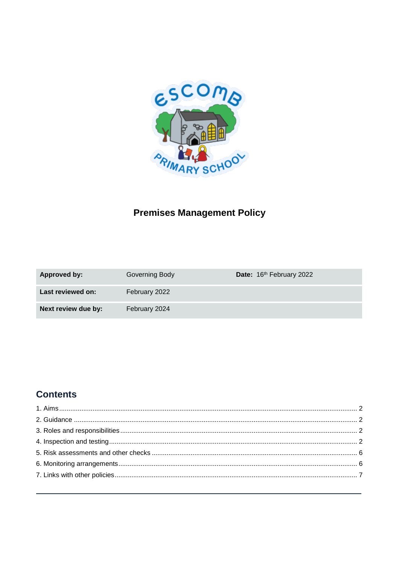

# **Premises Management Policy**

| Approved by:        | Governing Body | Date: 16th February 2022 |
|---------------------|----------------|--------------------------|
| Last reviewed on:   | February 2022  |                          |
| Next review due by: | February 2024  |                          |

# **Contents**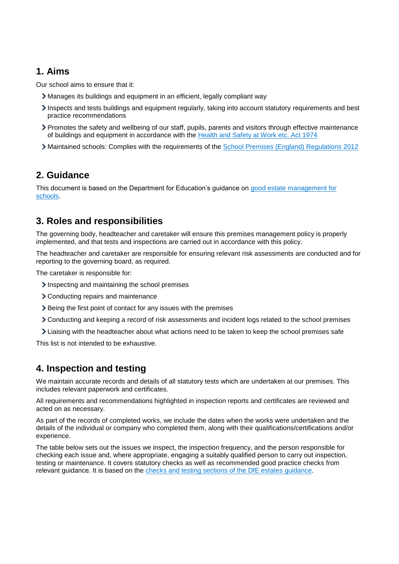## <span id="page-1-0"></span>**1. Aims**

Our school aims to ensure that it:

- Manages its buildings and equipment in an efficient, legally compliant way
- Inspects and tests buildings and equipment regularly, taking into account statutory requirements and best practice recommendations
- Promotes the safety and wellbeing of our staff, pupils, parents and visitors through effective maintenance of buildings and equipment in accordance with the [Health and Safety at Work etc. Act 1974](https://www.legislation.gov.uk/ukpga/1974/37/contents)
- <span id="page-1-1"></span>Maintained schools: Complies with the requirements of the [School Premises \(England\) Regulations 2012](http://www.legislation.gov.uk/uksi/2012/1943/contents/made)

### **2. Guidance**

This document is based on the Department for Education's guidance on [good estate management for](https://www.gov.uk/guidance/good-estate-management-for-schools)  [schools.](https://www.gov.uk/guidance/good-estate-management-for-schools)

## <span id="page-1-2"></span>**3. Roles and responsibilities**

The governing body, headteacher and caretaker will ensure this premises management policy is properly implemented, and that tests and inspections are carried out in accordance with this policy.

The headteacher and caretaker are responsible for ensuring relevant risk assessments are conducted and for reporting to the governing board, as required.

The caretaker is responsible for:

- Inspecting and maintaining the school premises
- Conducting repairs and maintenance
- Being the first point of contact for any issues with the premises
- Conducting and keeping a record of risk assessments and incident logs related to the school premises
- Liaising with the headteacher about what actions need to be taken to keep the school premises safe

This list is not intended to be exhaustive.

### <span id="page-1-3"></span>**4. Inspection and testing**

We maintain accurate records and details of all statutory tests which are undertaken at our premises. This includes relevant paperwork and certificates.

All requirements and recommendations highlighted in inspection reports and certificates are reviewed and acted on as necessary.

As part of the records of completed works, we include the dates when the works were undertaken and the details of the individual or company who completed them, along with their qualifications/certifications and/or experience.

The table below sets out the issues we inspect, the inspection frequency, and the person responsible for checking each issue and, where appropriate, engaging a suitably qualified person to carry out inspection, testing or maintenance. It covers statutory checks as well as recommended good practice checks from relevant guidance. It is based on the [checks and testing sections of the DfE estates guidance.](https://www.gov.uk/guidance/good-estate-management-for-schools/health-and-safety)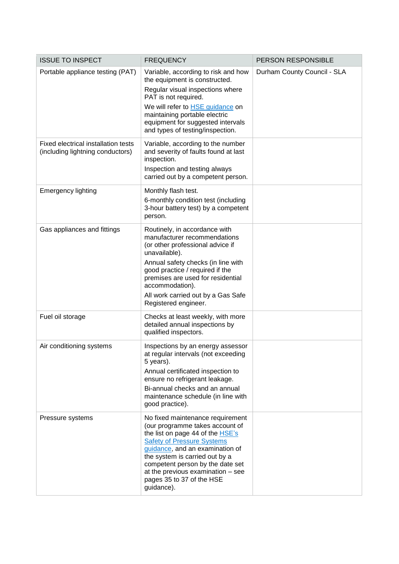| <b>ISSUE TO INSPECT</b>                                                 | <b>FREQUENCY</b>                                                                                                                                                                                                                                                                                                                      | <b>PERSON RESPONSIBLE</b>   |
|-------------------------------------------------------------------------|---------------------------------------------------------------------------------------------------------------------------------------------------------------------------------------------------------------------------------------------------------------------------------------------------------------------------------------|-----------------------------|
| Portable appliance testing (PAT)                                        | Variable, according to risk and how<br>the equipment is constructed.<br>Regular visual inspections where<br>PAT is not required.<br>We will refer to <b>HSE</b> guidance on<br>maintaining portable electric<br>equipment for suggested intervals<br>and types of testing/inspection.                                                 | Durham County Council - SLA |
| Fixed electrical installation tests<br>(including lightning conductors) | Variable, according to the number<br>and severity of faults found at last<br>inspection.<br>Inspection and testing always<br>carried out by a competent person.                                                                                                                                                                       |                             |
| <b>Emergency lighting</b>                                               | Monthly flash test.<br>6-monthly condition test (including<br>3-hour battery test) by a competent<br>person.                                                                                                                                                                                                                          |                             |
| Gas appliances and fittings                                             | Routinely, in accordance with<br>manufacturer recommendations<br>(or other professional advice if<br>unavailable).<br>Annual safety checks (in line with<br>good practice / required if the<br>premises are used for residential<br>accommodation).<br>All work carried out by a Gas Safe<br>Registered engineer.                     |                             |
| Fuel oil storage                                                        | Checks at least weekly, with more<br>detailed annual inspections by<br>qualified inspectors.                                                                                                                                                                                                                                          |                             |
| Air conditioning systems                                                | Inspections by an energy assessor<br>at regular intervals (not exceeding<br>5 years).<br>Annual certificated inspection to<br>ensure no refrigerant leakage.<br>Bi-annual checks and an annual<br>maintenance schedule (in line with<br>good practice).                                                                               |                             |
| Pressure systems                                                        | No fixed maintenance requirement<br>(our programme takes account of<br>the list on page 44 of the HSE's<br><b>Safety of Pressure Systems</b><br>guidance, and an examination of<br>the system is carried out by a<br>competent person by the date set<br>at the previous examination - see<br>pages 35 to 37 of the HSE<br>guidance). |                             |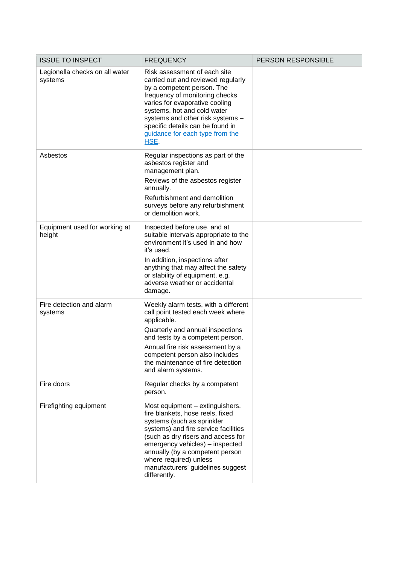| <b>ISSUE TO INSPECT</b>                   | <b>FREQUENCY</b>                                                                                                                                                                                                                                                                                                                     | PERSON RESPONSIBLE |
|-------------------------------------------|--------------------------------------------------------------------------------------------------------------------------------------------------------------------------------------------------------------------------------------------------------------------------------------------------------------------------------------|--------------------|
| Legionella checks on all water<br>systems | Risk assessment of each site<br>carried out and reviewed regularly<br>by a competent person. The<br>frequency of monitoring checks<br>varies for evaporative cooling<br>systems, hot and cold water<br>systems and other risk systems -<br>specific details can be found in<br>guidance for each type from the<br>HSE.               |                    |
| Asbestos                                  | Regular inspections as part of the<br>asbestos register and<br>management plan.<br>Reviews of the asbestos register<br>annually.<br>Refurbishment and demolition<br>surveys before any refurbishment<br>or demolition work.                                                                                                          |                    |
| Equipment used for working at<br>height   | Inspected before use, and at<br>suitable intervals appropriate to the<br>environment it's used in and how<br>it's used.<br>In addition, inspections after<br>anything that may affect the safety<br>or stability of equipment, e.g.<br>adverse weather or accidental<br>damage.                                                      |                    |
| Fire detection and alarm<br>systems       | Weekly alarm tests, with a different<br>call point tested each week where<br>applicable.<br>Quarterly and annual inspections<br>and tests by a competent person.<br>Annual fire risk assessment by a<br>competent person also includes<br>the maintenance of fire detection<br>and alarm systems.                                    |                    |
| Fire doors                                | Regular checks by a competent<br>person.                                                                                                                                                                                                                                                                                             |                    |
| Firefighting equipment                    | Most equipment - extinguishers,<br>fire blankets, hose reels, fixed<br>systems (such as sprinkler<br>systems) and fire service facilities<br>(such as dry risers and access for<br>emergency vehicles) - inspected<br>annually (by a competent person<br>where required) unless<br>manufacturers' guidelines suggest<br>differently. |                    |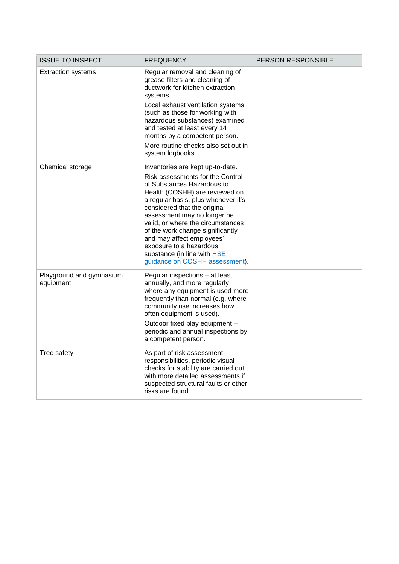| <b>ISSUE TO INSPECT</b>               | <b>FREQUENCY</b>                                                                                                                                                                                                                                                                                                                                                                                                                             | PERSON RESPONSIBLE |
|---------------------------------------|----------------------------------------------------------------------------------------------------------------------------------------------------------------------------------------------------------------------------------------------------------------------------------------------------------------------------------------------------------------------------------------------------------------------------------------------|--------------------|
| <b>Extraction systems</b>             | Regular removal and cleaning of<br>grease filters and cleaning of<br>ductwork for kitchen extraction<br>systems.<br>Local exhaust ventilation systems<br>(such as those for working with<br>hazardous substances) examined<br>and tested at least every 14<br>months by a competent person.<br>More routine checks also set out in<br>system logbooks.                                                                                       |                    |
| Chemical storage                      | Inventories are kept up-to-date.<br>Risk assessments for the Control<br>of Substances Hazardous to<br>Health (COSHH) are reviewed on<br>a regular basis, plus whenever it's<br>considered that the original<br>assessment may no longer be<br>valid, or where the circumstances<br>of the work change significantly<br>and may affect employees'<br>exposure to a hazardous<br>substance (in line with HSE<br>guidance on COSHH assessment). |                    |
| Playground and gymnasium<br>equipment | Regular inspections - at least<br>annually, and more regularly<br>where any equipment is used more<br>frequently than normal (e.g. where<br>community use increases how<br>often equipment is used).<br>Outdoor fixed play equipment -<br>periodic and annual inspections by<br>a competent person.                                                                                                                                          |                    |
| Tree safety                           | As part of risk assessment<br>responsibilities, periodic visual<br>checks for stability are carried out,<br>with more detailed assessments if<br>suspected structural faults or other<br>risks are found.                                                                                                                                                                                                                                    |                    |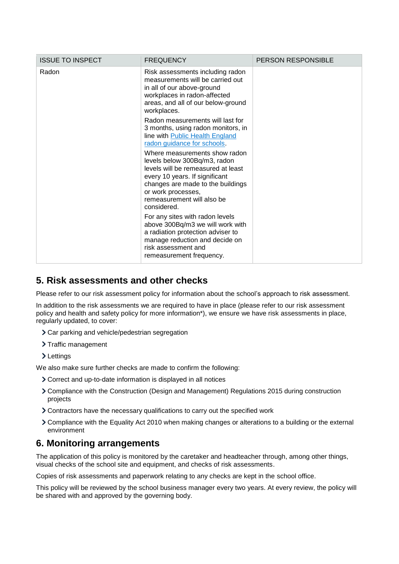| <b>ISSUE TO INSPECT</b> | <b>FREQUENCY</b>                                                                                                                                                                                                                              | <b>PERSON RESPONSIBLE</b> |
|-------------------------|-----------------------------------------------------------------------------------------------------------------------------------------------------------------------------------------------------------------------------------------------|---------------------------|
| Radon                   | Risk assessments including radon<br>measurements will be carried out<br>in all of our above-ground<br>workplaces in radon-affected<br>areas, and all of our below-ground<br>workplaces.                                                       |                           |
|                         | Radon measurements will last for<br>3 months, using radon monitors, in<br>line with Public Health England<br>radon guidance for schools.                                                                                                      |                           |
|                         | Where measurements show radon<br>levels below 300Bq/m3, radon<br>levels will be remeasured at least<br>every 10 years. If significant<br>changes are made to the buildings<br>or work processes,<br>remeasurement will also be<br>considered. |                           |
|                         | For any sites with radon levels<br>above 300Bq/m3 we will work with<br>a radiation protection adviser to<br>manage reduction and decide on<br>risk assessment and<br>remeasurement frequency.                                                 |                           |

### <span id="page-5-0"></span>**5. Risk assessments and other checks**

Please refer to our risk assessment policy for information about the school's approach to risk assessment.

In addition to the risk assessments we are required to have in place (please refer to our risk assessment policy and health and safety policy for more information\*), we ensure we have risk assessments in place, regularly updated, to cover:

- Car parking and vehicle/pedestrian segregation
- > Traffic management
- > Lettings

We also make sure further checks are made to confirm the following:

- Correct and up-to-date information is displayed in all notices
- Compliance with the Construction (Design and Management) Regulations 2015 during construction projects
- Contractors have the necessary qualifications to carry out the specified work
- Compliance with the Equality Act 2010 when making changes or alterations to a building or the external environment

### <span id="page-5-1"></span>**6. Monitoring arrangements**

The application of this policy is monitored by the caretaker and headteacher through, among other things, visual checks of the school site and equipment, and checks of risk assessments.

Copies of risk assessments and paperwork relating to any checks are kept in the school office.

This policy will be reviewed by the school business manager every two years. At every review, the policy will be shared with and approved by the governing body.